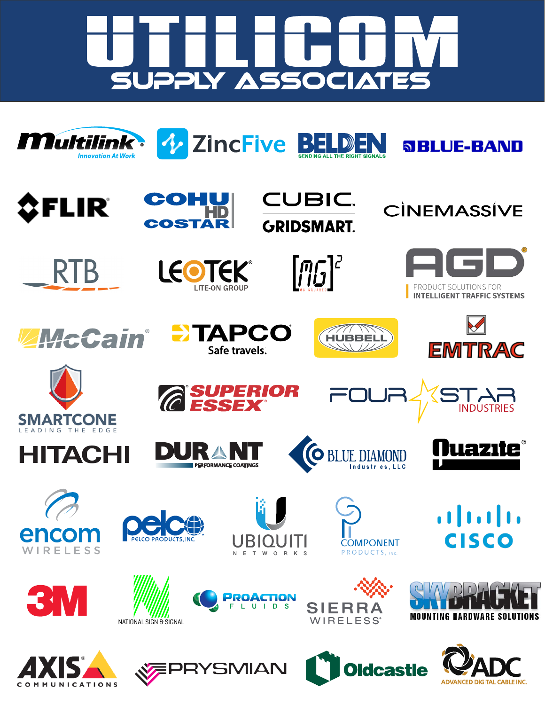

*V* ZincFive BELI









 $\mathbb{D}$ Ε



**SBLUE-BAND** 













リンコ















**INDUSTRIES** 







*RIOR* 



 $\left\vert .\right\vert$   $\left\vert .\right\vert$   $\left\vert .\right\vert$   $\left\vert .\right\vert$ **CISCO**